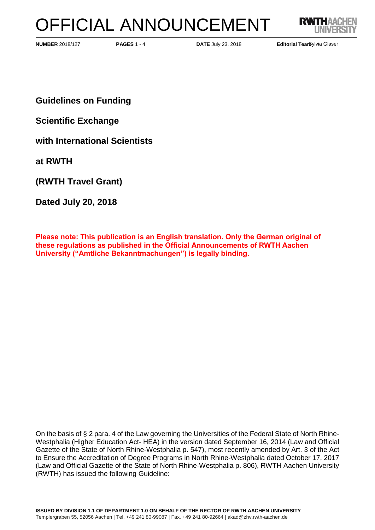# OFFICIAL ANNOUNCEMENT



**PAGES 1 - 4 <b>DATE** July 23, 2018 **Editorial Team Editorial Team** 

Editorial Tearbylvia Glaser

**Guidelines on Funding** 

**Scientific Exchange** 

**with International Scientists** 

**at RWTH**

**(RWTH Travel Grant)**

**Dated July 20, 2018**

**Please note: This publication is an English translation. Only the German original of these regulations as published in the Official Announcements of RWTH Aachen University ("Amtliche Bekanntmachungen") is legally binding.**

On the basis of § 2 para. 4 of the Law governing the Universities of the Federal State of North Rhine-Westphalia (Higher Education Act- HEA) in the version dated September 16, 2014 (Law and Official Gazette of the State of North Rhine-Westphalia p. 547), most recently amended by Art. 3 of the Act to Ensure the Accreditation of Degree Programs in North Rhine-Westphalia dated October 17, 2017 (Law and Official Gazette of the State of North Rhine-Westphalia p. 806), RWTH Aachen University (RWTH) has issued the following Guideline: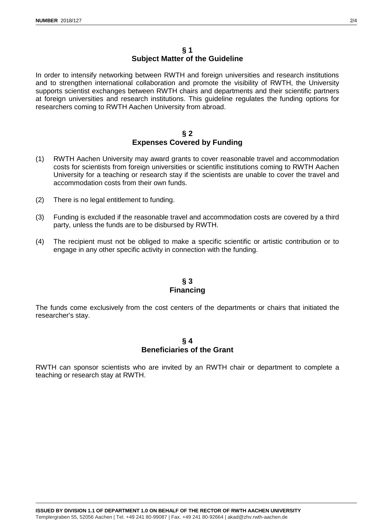#### **§ 1 Subject Matter of the Guideline**

In order to intensify networking between RWTH and foreign universities and research institutions and to strengthen international collaboration and promote the visibility of RWTH, the University supports scientist exchanges between RWTH chairs and departments and their scientific partners at foreign universities and research institutions. This guideline regulates the funding options for researchers coming to RWTH Aachen University from abroad.

#### **§ 2 Expenses Covered by Funding**

- (1) RWTH Aachen University may award grants to cover reasonable travel and accommodation costs for scientists from foreign universities or scientific institutions coming to RWTH Aachen University for a teaching or research stay if the scientists are unable to cover the travel and accommodation costs from their own funds.
- (2) There is no legal entitlement to funding.
- (3) Funding is excluded if the reasonable travel and accommodation costs are covered by a third party, unless the funds are to be disbursed by RWTH.
- (4) The recipient must not be obliged to make a specific scientific or artistic contribution or to engage in any other specific activity in connection with the funding.

# **§ 3 Financing**

The funds come exclusively from the cost centers of the departments or chairs that initiated the researcher's stay.

### **§ 4 Beneficiaries of the Grant**

RWTH can sponsor scientists who are invited by an RWTH chair or department to complete a teaching or research stay at RWTH.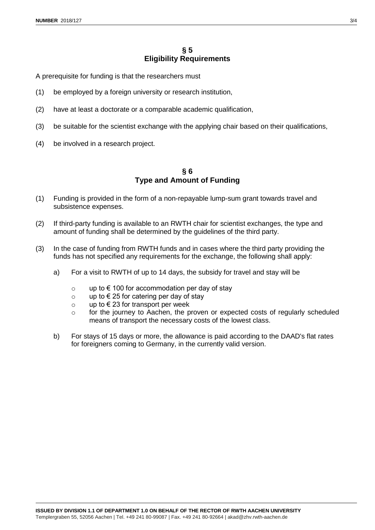# **§ 5 Eligibility Requirements**

A prerequisite for funding is that the researchers must

- (1) be employed by a foreign university or research institution,
- (2) have at least a doctorate or a comparable academic qualification,
- (3) be suitable for the scientist exchange with the applying chair based on their qualifications,
- (4) be involved in a research project.

#### **§ 6 Type and Amount of Funding**

- (1) Funding is provided in the form of a non-repayable lump-sum grant towards travel and subsistence expenses.
- (2) If third-party funding is available to an RWTH chair for scientist exchanges, the type and amount of funding shall be determined by the guidelines of the third party.
- (3) In the case of funding from RWTH funds and in cases where the third party providing the funds has not specified any requirements for the exchange, the following shall apply:
	- a) For a visit to RWTH of up to 14 days, the subsidy for travel and stay will be
		- o up to  $\epsilon$  100 for accommodation per day of stay
		- o up to  $\epsilon$  25 for catering per day of stay
		- o up to €23 for transport per week
		- o for the journey to Aachen, the proven or expected costs of regularly scheduled means of transport the necessary costs of the lowest class.
	- b) For stays of 15 days or more, the allowance is paid according to the DAAD's flat rates for foreigners coming to Germany, in the currently valid version.